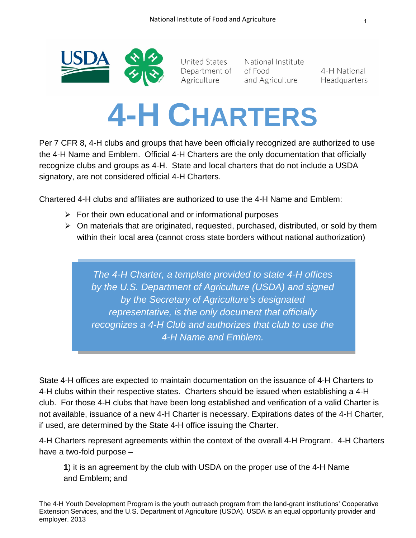

United States Department of Agriculture

National Institute of Food and Agriculture

4-H National Headquarters

## **4-H CHARTERS**

Per 7 CFR 8, 4-H clubs and groups that have been officially recognized are authorized to use the 4-H Name and Emblem. Official 4-H Charters are the only documentation that officially recognize clubs and groups as 4-H. State and local charters that do not include a USDA signatory, are not considered official 4-H Charters.

Chartered 4-H clubs and affiliates are authorized to use the 4-H Name and Emblem:

- $\triangleright$  For their own educational and or informational purposes
- $\triangleright$  On materials that are originated, requested, purchased, distributed, or sold by them within their local area (cannot cross state borders without national authorization)

*The 4-H Charter, a template provided to state 4-H offices by the U.S. Department of Agriculture (USDA) and signed by the Secretary of Agriculture's designated representative, is the only document that officially recognizes a 4-H Club and authorizes that club to use the 4-H Name and Emblem.*

State 4-H offices are expected to maintain documentation on the issuance of 4-H Charters to 4-H clubs within their respective states. Charters should be issued when establishing a 4-H club. For those 4-H clubs that have been long established and verification of a valid Charter is not available, issuance of a new 4-H Charter is necessary. Expirations dates of the 4-H Charter, if used, are determined by the State 4-H office issuing the Charter.

4-H Charters represent agreements within the context of the overall 4-H Program. 4-H Charters have a two-fold purpose –

**1**) it is an agreement by the club with USDA on the proper use of the 4-H Name and Emblem; and